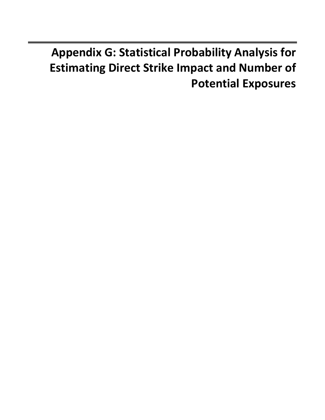**Appendix G: Statistical Probability Analysis for Estimating Direct Strike Impact and Number of Potential Exposures**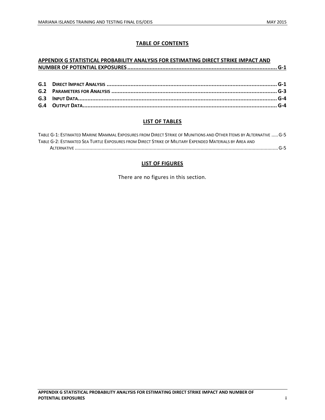### **TABLE OF CONTENTS**

# **[APPENDIX G STATISTICAL PROBABILITY ANALYSIS FOR ESTIMATING DIRECT STRIKE IMPACT AND](#page-4-0)**

#### **LIST OF TABLES**

| TABLE G-1: ESTIMATED MARINE MAMMAL EXPOSURES FROM DIRECT STRIKE OF MUNITIONS AND OTHER ITEMS BY ALTERNATIVE  G-5 |  |
|------------------------------------------------------------------------------------------------------------------|--|
| TABLE G-2: ESTIMATED SEA TURTLE EXPOSURES FROM DIRECT STRIKE OF MILITARY EXPENDED MATERIALS BY AREA AND          |  |
|                                                                                                                  |  |

### **LIST OF FIGURES**

There are no figures in this section.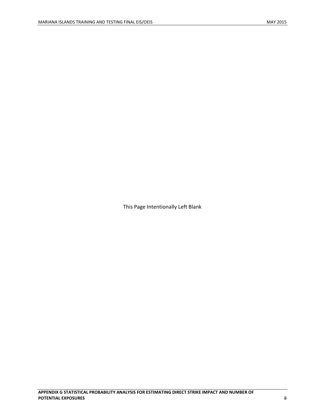This Page Intentionally Left Blank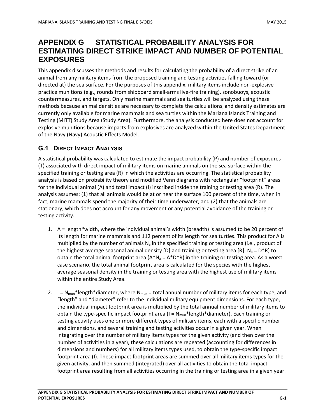## <span id="page-4-0"></span>**APPENDIX G STATISTICAL PROBABILITY ANALYSIS FOR ESTIMATING DIRECT STRIKE IMPACT AND NUMBER OF POTENTIAL EXPOSURES**

This appendix discusses the methods and results for calculating the probability of a direct strike of an animal from any military items from the proposed training and testing activities falling toward (or directed at) the sea surface. For the purposes of this appendix, military items include non-explosive practice munitions (e.g., rounds from shipboard small-arms live-fire training), sonobuoys, acoustic countermeasures, and targets. Only marine mammals and sea turtles will be analyzed using these methods because animal densities are necessary to complete the calculations, and density estimates are currently only available for marine mammals and sea turtles within the Mariana Islands Training and Testing (MITT) Study Area (Study Area). Furthermore, the analysis conducted here does not account for explosive munitions because impacts from explosives are analyzed within the United States Department of the Navy (Navy) Acoustic Effects Model.

### <span id="page-4-1"></span>**G.1 DIRECT IMPACT ANALYSIS**

A statistical probability was calculated to estimate the impact probability (P) and number of exposures (T) associated with direct impact of military items on marine animals on the sea surface within the specified training or testing area (R) in which the activities are occurring. The statistical probability analysis is based on probability theory and modified Venn diagrams with rectangular "footprint" areas for the individual animal (A) and total impact (I) inscribed inside the training or testing area (R). The analysis assumes: (1) that all animals would be at or near the surface 100 percent of the time, when in fact, marine mammals spend the majority of their time underwater; and (2) that the animals are stationary, which does not account for any movement or any potential avoidance of the training or testing activity.

- 1. A = length\*width, where the individual animal's width (breadth) is assumed to be 20 percent of its length for marine mammals and 112 percent of its length for sea turtles. This product for A is multiplied by the number of animals  $N_a$  in the specified training or testing area (i.e., product of the highest average seasonal animal density [D] and training or testing area [R]: N<sub>a</sub> = D\*R) to obtain the total animal footprint area  $(A^*N_a = A^*D^*R)$  in the training or testing area. As a worst case scenario, the total animal footprint area is calculated for the species with the highest average seasonal density in the training or testing area with the highest use of military items within the entire Study Area.
- 2.  $I = N_{\text{min}}$ \*length\*diameter, where  $N_{\text{min}}$  = total annual number of military items for each type, and "length" and "diameter" refer to the individual military equipment dimensions. For each type, the individual impact footprint area is multiplied by the total annual number of military items to obtain the type-specific impact footprint area ( $I = N_{\text{mun}}*$ length\*diameter). Each training or testing activity uses one or more different types of military items, each with a specific number and dimensions, and several training and testing activities occur in a given year. When integrating over the number of military items types for the given activity (and then over the number of activities in a year), these calculations are repeated (accounting for differences in dimensions and numbers) for all military items types used, to obtain the type-specific impact footprint area (I). These impact footprint areas are summed over all military items types for the given activity, and then summed (integrated) over all activities to obtain the total impact footprint area resulting from all activities occurring in the training or testing area in a given year.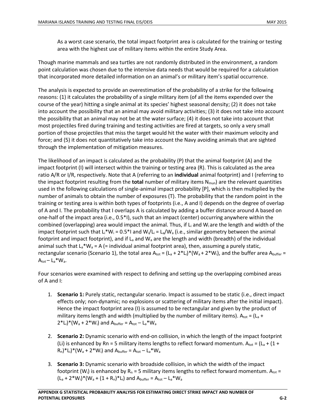As a worst case scenario, the total impact footprint area is calculated for the training or testing area with the highest use of military items within the entire Study Area.

Though marine mammals and sea turtles are not randomly distributed in the environment, a random point calculation was chosen due to the intensive data needs that would be required for a calculation that incorporated more detailed information on an animal's or military item's spatial occurrence.

The analysis is expected to provide an overestimation of the probability of a strike for the following reasons: (1) it calculates the probability of a single military item (of all the items expended over the course of the year) hitting a single animal at its species' highest seasonal density; (2) it does not take into account the possibility that an animal may avoid military activities; (3) it does not take into account the possibility that an animal may not be at the water surface; (4) it does not take into account that most projectiles fired during training and testing activities are fired at targets, so only a very small portion of those projectiles that miss the target would hit the water with their maximum velocity and force; and (5) it does not quantitatively take into account the Navy avoiding animals that are sighted through the implementation of mitigation measures.

The likelihood of an impact is calculated as the probability (P) that the animal footprint (A) and the impact footprint (I) will intersect within the training or testing area (R). This is calculated as the area ratio A/R or I/R, respectively. Note that A (referring to an **individual** animal footprint) and I (referring to the impact footprint resulting from the **total** number of military items  $N_{\text{mun}}$ ) are the relevant quantities used in the following calculations of single-animal impact probability [P], which is then multiplied by the number of animals to obtain the number of exposures (T). The probability that the random point in the training or testing area is within both types of footprints (i.e., A and I) depends on the degree of overlap of A and I. The probability that I overlaps A is calculated by adding a buffer distance around A based on one-half of the impact area (i.e., 0.5\*I), such that an impact (center) occurring anywhere within the combined (overlapping) area would impact the animal. Thus, if L<sup>i</sup> and Wi are the length and width of the impact footprint such that L<sub>i</sub>\*W<sub>i</sub> = 0.5\*I and W<sub>i</sub>/L<sub>i</sub> = L<sub>a</sub>/W<sub>a</sub> (i.e., similar geometry between the animal footprint and impact footprint), and if  $L_a$  and  $W_a$  are the length and width (breadth) of the individual animal such that  $L_a^*W_a = A$  (= individual animal footprint area), then, assuming a purely static, rectangular scenario (Scenario 1), the total area A<sub>tot</sub> =  $(L_a + 2^*L_i)^*(W_a + 2^*W_i)$ , and the buffer area A<sub>buffer</sub> =  $A_{\text{tot}} - L_a^* W_a$ .

Four scenarios were examined with respect to defining and setting up the overlapping combined areas of A and I:

- 1. **Scenario 1:** Purely static, rectangular scenario. Impact is assumed to be static (i.e., direct impact effects only; non-dynamic; no explosions or scattering of military items after the initial impact). Hence the impact footprint area (I) is assumed to be rectangular and given by the product of military items length and width (multiplied by the number of military items). At  $_{\text{tot}} = (L_a +$  $2^*$ L<sub>i</sub>)\*(W<sub>a</sub> + 2\*W<sub>i</sub>) and A<sub>buffer</sub> = A<sub>tot</sub> – L<sub>a</sub>\*W<sub>a</sub>
- 2. **Scenario 2:** Dynamic scenario with end-on collision, in which the length of the impact footprint (Li) is enhanced by Rn = 5 military items lengths to reflect forward momentum.  $A_{\text{tot}} = (L_a + (1 +$  $R_n$ <sup>\*</sup>L<sub>i</sub>)\*(W<sub>a</sub> + 2\*W<sub>i</sub>) and  $A_{\text{buffer}} = A_{\text{tot}} - L_a^* W_a$
- 3. **Scenario 3:** Dynamic scenario with broadside collision, in which the width of the impact footprint (W<sub>i</sub>) is enhanced by R<sub>n</sub> = 5 military items lengths to reflect forward momentum. A<sub>tot</sub> =  $(L_a + 2*W_i)*(W_a + (1 + R_n)*L_i)$  and  $A_{buffer} = A_{tot} - L_a*W_a$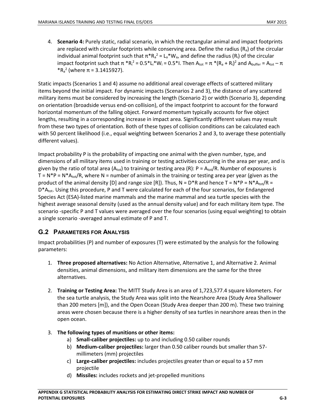4. **Scenario 4:** Purely static, radial scenario, in which the rectangular animal and impact footprints are replaced with circular footprints while conserving area. Define the radius ( $R<sub>a</sub>$ ) of the circular individual animal footprint such that  $\pi^* R_a^2 = L_a^* W_a$ , and define the radius (R<sub>i</sub>) of the circular impact footprint such that  $\pi * R_i^2 = 0.5 * L_i * W_i = 0.5 * I$ . Then  $A_{tot} = \pi * (R_a + R_i)^2$  and  $A_{buffer} = A_{tot} - \pi$  $*R_a^2$  (where π = 3.1415927).

Static impacts (Scenarios 1 and 4) assume no additional areal coverage effects of scattered military items beyond the initial impact. For dynamic impacts (Scenarios 2 and 3), the distance of any scattered military items must be considered by increasing the length (Scenario 2) or width (Scenario 3), depending on orientation (broadside versus end-on collision), of the impact footprint to account for the forward horizontal momentum of the falling object. Forward momentum typically accounts for five object lengths, resulting in a corresponding increase in impact area. Significantly different values may result from these two types of orientation. Both of these types of collision conditions can be calculated each with 50 percent likelihood (i.e., equal weighting between Scenarios 2 and 3, to average these potentially different values).

Impact probability P is the probability of impacting one animal with the given number, type, and dimensions of all military items used in training or testing activities occurring in the area per year, and is given by the ratio of total area (A<sub>tot</sub>) to training or testing area (R): P = A<sub>tot</sub>/R. Number of exposures is  $T = N^*P = N^*A_{\text{tot}}/R$ , where N = number of animals in the training or testing area per year (given as the product of the animal density [D] and range size [R]). Thus,  $N = D^*R$  and hence  $T = N^*P = N^*A_{\text{tot}}/R =$  $D^*A_{\text{tot}}$ . Using this procedure, P and T were calculated for each of the four scenarios, for Endangered Species Act (ESA)-listed marine mammals and the marine mammal and sea turtle species with the highest average seasonal density (used as the annual density value) and for each military item type. The scenario -specific P and T values were averaged over the four scenarios (using equal weighting) to obtain a single scenario -averaged annual estimate of P and T.

### <span id="page-6-0"></span>**G.2 PARAMETERS FOR ANALYSIS**

Impact probabilities (P) and number of exposures (T) were estimated by the analysis for the following parameters:

- 1. **Three proposed alternatives:** No Action Alternative, Alternative 1, and Alternative 2. Animal densities, animal dimensions, and military item dimensions are the same for the three alternatives.
- 2. **Training or Testing Area:** The MITT Study Area is an area of 1,723,577.4 square kilometers. For the sea turtle analysis, the Study Area was split into the Nearshore Area (Study Area Shallower than 200 meters [m]), and the Open Ocean (Study Area deeper than 200 m). These two training areas were chosen because there is a higher density of sea turtles in nearshore areas then in the open ocean.
- 3. **The following types of munitions or other items:**
	- a) **Small-caliber projectiles:** up to and including 0.50 caliber rounds
	- b) **Medium-caliber projectiles:** larger than 0.50 caliber rounds but smaller than 57 millimeters (mm) projectiles
	- c) **Large-caliber projectiles:** includes projectiles greater than or equal to a 57 mm projectile
	- d) **Missiles:** includes rockets and jet-propelled munitions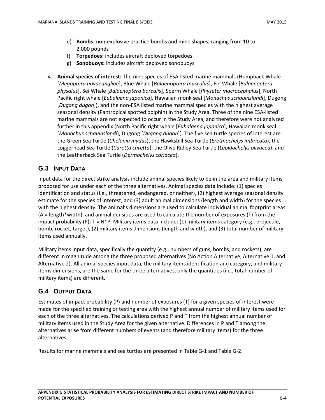- e) **Bombs:** non-explosive practice bombs and mine shapes, ranging from 10 to 2,000 pounds
- f) **Torpedoes:** includes aircraft deployed torpedoes
- g) **Sonobuoys:** includes aircraft deployed sonobuoys
- 4. **Animal species of interest:** The nine species of ESA-listed marine mammals (Humpback Whale [*Megaptera novaeangliae*], Blue Whale [*Balaenoptera musculus*], Fin Whale [*Balaenoptera physalus*], Sei Whale [*Balaenoptera borealis*], Sperm Whale [*Physeter macrocephalus*], North Pacific right whale [*Eubalaena japonica*], Hawaiian monk seal [*Monachus schauinslandi*], Dugong [*Dugong dugon*]), and the non-ESA listed marine mammal species with the highest average seasonal density (Pantropical spotted dolphin) in the Study Area. Three of the nine ESA-listed marine mammals are not expected to occur in the Study Area, and therefore were not analyzed further in this appendix (North Pacific right whale [*Eubalaena japonica*], Hawaiian monk seal [*Monachus schauinslandi*], Dugong [*Dugong dugon*]). The five sea turtle species of interest are the Green Sea Turtle (*Chelonia mydas*), the Hawksbill Sea Turtle (*Eretmochelys imbricata*), the Loggerhead Sea Turtle (*Caretta caretta*), the Olive Ridley Sea Turtle (*Lepidochelys olivacea*), and the Leatherback Sea Turtle (*Dermochelys coriacea*).

### <span id="page-7-0"></span>**G.3 INPUT DATA**

Input data for the direct strike analysis include animal species likely to be in the area and military items proposed for use under each of the three alternatives. Animal species data include: (1) species identification and status (i.e., threatened, endangered, or neither), (2) highest average seasonal density estimate for the species of interest, and (3) adult animal dimensions (length and width) for the species with the highest density. The animal's dimensions are used to calculate individual animal footprint areas (A = length\*width), and animal densities are used to calculate the number of exposures (T) from the impact probability (P): T = N\*P. Military items data include: (1) military items category (e.g., projectile, bomb, rocket, target), (2) military items dimensions (length and width), and (3) total number of military items used annually.

Military items input data, specifically the quantity (e.g., numbers of guns, bombs, and rockets), are different in magnitude among the three proposed alternatives (No Action Alternative, Alternative 1, and Alternative 2). All animal species input data, the military items identification and category, and military items dimensions, are the same for the three alternatives, only the quantities (i.e., total number of military items) are different.

### <span id="page-7-1"></span>**G.4 OUTPUT DATA**

Estimates of impact probability (P) and number of exposures (T) for a given species of interest were made for the specified training or testing area with the highest annual number of military items used for each of the three alternatives. The calculations derived P and T from the highest annual number of military items used in the Study Area for the given alternative. Differences in P and T among the alternatives arise from different numbers of events (and therefore military items) for the three alternatives.

Results for marine mammals and sea turtles are presented in [Table](#page-8-0) G-1 and [Table G-2.](#page-8-1)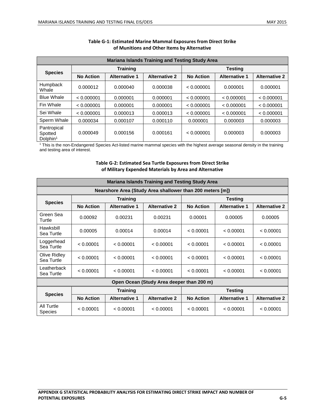<span id="page-8-0"></span>

| <b>Mariana Islands Training and Testing Study Area</b> |                  |                      |                      |                  |                      |                      |
|--------------------------------------------------------|------------------|----------------------|----------------------|------------------|----------------------|----------------------|
| <b>Species</b>                                         | <b>Training</b>  |                      |                      | <b>Testing</b>   |                      |                      |
|                                                        | <b>No Action</b> | <b>Alternative 1</b> | <b>Alternative 2</b> | <b>No Action</b> | <b>Alternative 1</b> | <b>Alternative 2</b> |
| <b>Humpback</b><br>Whale                               | 0.000012         | 0.000040             | 0.000038             | < 0.000001       | 0.000001             | 0.000001             |
| <b>Blue Whale</b>                                      | < 0.000001       | 0.000001             | 0.000001             | < 0.000001       | < 0.000001           | < 0.000001           |
| Fin Whale                                              | < 0.000001       | 0.000001             | 0.000001             | < 0.000001       | < 0.000001           | < 0.000001           |
| Sei Whale                                              | < 0.000001       | 0.000013             | 0.000013             | < 0.000001       | < 0.000001           | < 0.000001           |
| Sperm Whale                                            | 0.000034         | 0.000107             | 0.000110             | 0.000001         | 0.000003             | 0.000003             |
| Pantropical<br>Spotted<br>Dolphin <sup>1</sup>         | 0.000049         | 0.000156             | 0.000161             | < 0.000001       | 0.000003             | 0.000003             |

#### **Table G-1: Estimated Marine Mammal Exposures from Direct Strike of Munitions and Other Items by Alternative**

<span id="page-8-1"></span><sup>1</sup> This is the non-Endangered Species Act-listed marine mammal species with the highest average seasonal density in the training and testing area of interest.

#### **Table G-2: Estimated Sea Turtle Exposures from Direct Strike of Military Expended Materials by Area and Alternative**

| <b>Mariana Islands Training and Testing Study Area</b>    |                  |                      |                      |                  |                      |                      |  |
|-----------------------------------------------------------|------------------|----------------------|----------------------|------------------|----------------------|----------------------|--|
| Nearshore Area (Study Area shallower than 200 meters [m]) |                  |                      |                      |                  |                      |                      |  |
| <b>Species</b>                                            | <b>Training</b>  |                      |                      | <b>Testing</b>   |                      |                      |  |
|                                                           | <b>No Action</b> | <b>Alternative 1</b> | <b>Alternative 2</b> | <b>No Action</b> | <b>Alternative 1</b> | <b>Alternative 2</b> |  |
| Green Sea<br>Turtle                                       | 0.00092          | 0.00231              | 0.00231              | 0.00001          | 0.00005              | 0.00005              |  |
| Hawksbill<br>Sea Turtle                                   | 0.00005          | 0.00014              | 0.00014              | < 0.00001        | < 0.00001            | < 0.00001            |  |
| Loggerhead<br>Sea Turtle                                  | < 0.00001        | < 0.00001            | < 0.00001            | < 0.00001        | < 0.00001            | < 0.00001            |  |
| Olive Ridley<br>Sea Turtle                                | < 0.00001        | < 0.00001            | < 0.00001            | < 0.00001        | < 0.00001            | < 0.00001            |  |
| Leatherback<br>Sea Turtle                                 | < 0.00001        | < 0.00001            | < 0.00001            | < 0.00001        | < 0.00001            | < 0.00001            |  |
| Open Ocean (Study Area deeper than 200 m)                 |                  |                      |                      |                  |                      |                      |  |
|                                                           | <b>Training</b>  |                      |                      | <b>Testing</b>   |                      |                      |  |
| <b>Species</b>                                            | <b>No Action</b> | <b>Alternative 1</b> | <b>Alternative 2</b> | <b>No Action</b> | <b>Alternative 1</b> | <b>Alternative 2</b> |  |
| All Turtle<br>Species                                     | < 0.00001        | < 0.00001            | < 0.00001            | < 0.00001        | < 0.00001            | < 0.00001            |  |